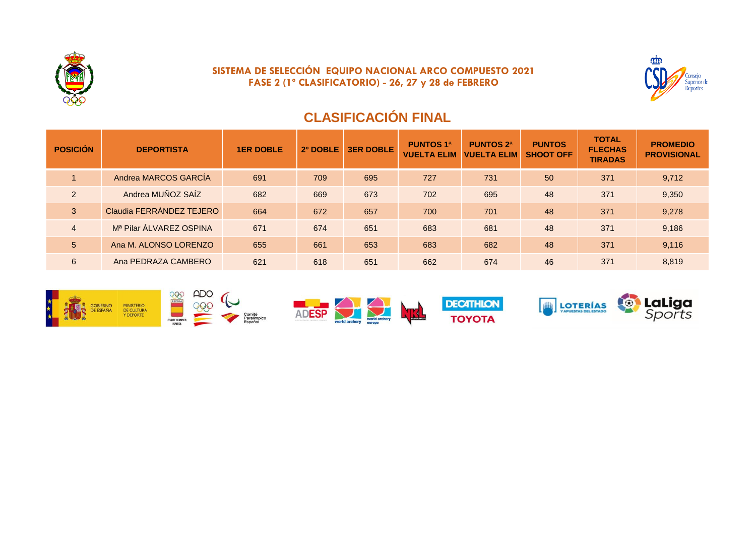

## **SISTEMA DE SELECCIÓN EQUIPO NACIONAL ARCO COMPUESTO 2021 FASE 2 (1º CLASIFICATORIO) - 26, 27 y 28 de FEBRERO**



# **CLASIFICACIÓN FINAL**

| <b>POSICIÓN</b> | <b>DEPORTISTA</b>        | <b>1ER DOBLE</b> | 2º DOBLE | <b>3ER DOBLE</b> | <b>PUNTOS 1ª</b><br><b>VUELTA ELIM</b> | <b>PUNTOS 2ª</b><br><b>VUELTA ELIM</b> | <b>PUNTOS</b><br><b>SHOOT OFF</b> | <b>TOTAL</b><br><b>FLECHAS</b><br><b>TIRADAS</b> | <b>PROMEDIO</b><br><b>PROVISIONAL</b> |
|-----------------|--------------------------|------------------|----------|------------------|----------------------------------------|----------------------------------------|-----------------------------------|--------------------------------------------------|---------------------------------------|
|                 | Andrea MARCOS GARCÍA     | 691              | 709      | 695              | 727                                    | 731                                    | 50                                | 371                                              | 9,712                                 |
| $\overline{2}$  | Andrea MUÑOZ SAÍZ        | 682              | 669      | 673              | 702                                    | 695                                    | 48                                | 371                                              | 9,350                                 |
| 3               | Claudia FERRÁNDEZ TEJERO | 664              | 672      | 657              | 700                                    | 701                                    | 48                                | 371                                              | 9,278                                 |
| $\overline{4}$  | Mª Pilar ÁLVAREZ OSPINA  | 671              | 674      | 651              | 683                                    | 681                                    | 48                                | 371                                              | 9,186                                 |
| 5               | Ana M. ALONSO LORENZO    | 655              | 661      | 653              | 683                                    | 682                                    | 48                                | 371                                              | 9,116                                 |
| 6               | Ana PEDRAZA CAMBERO      | 621              | 618      | 651              | 662                                    | 674                                    | 46                                | 371                                              | 8,819                                 |

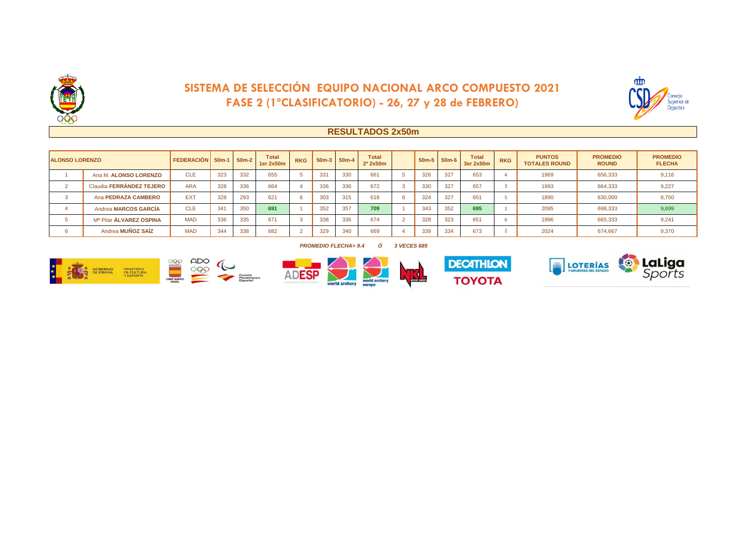

## **SISTEMA DE SELECCIÓN EQUIPO NACIONAL ARCO COMPUESTO 2021 FASE 2 (1ºCLASIFICATORIO) - 26, 27 y 28 de FEBRERO)**



### **RESULTADOS 2x50m**

| <b>ALONSO LORENZO</b> |                                | FEDERACIÓN 50m-1   50m-2 |     |     | <b>Total</b><br>1er 2x50m | <b>RKG</b>     |     | $50m-3$ 50m-4 | <b>Total</b><br>$2^{\circ}$ 2x50 $m$ |     | $50m-5$ 50m-6 | <b>Total</b><br>3er 2x50m | <b>RKG</b> | <b>PUNTOS</b><br><b>TOTALES ROUND</b> | <b>PROMEDIO</b><br><b>ROUND</b> | <b>PROMEDIO</b><br><b>FLECHA</b> |
|-----------------------|--------------------------------|--------------------------|-----|-----|---------------------------|----------------|-----|---------------|--------------------------------------|-----|---------------|---------------------------|------------|---------------------------------------|---------------------------------|----------------------------------|
|                       | Ana M. ALONSO LORENZO          | CLE                      | 323 | 332 | 655                       | -5             | 331 | 330           | 661                                  | 326 | 327           | 653                       |            | 1969                                  | 656.333                         | 9,116                            |
|                       | Claudia FERRÁNDEZ TEJERO       | <b>ARA</b>               | 328 | 336 | 664                       |                | 336 | 336           | 672                                  | 330 | 327           | 657                       |            | 1993                                  | 664.333                         | 9,227                            |
|                       | Ana PEDRAZA CAMBERO            | <b>EXT</b>               | 328 | 293 | 621                       | -6             | 303 | 315           | 618                                  | 324 | 327           | 65'                       |            | 1890                                  | 630,000                         | 8,750                            |
|                       | Andrea MARCOS GARCÍA           | CLE                      | 341 | 350 | 691                       |                | 352 | 357           | 709                                  | 343 | 352           | 695                       |            | 2095                                  | 698.333                         | 9,699                            |
|                       | Mª Pilar <b>ÁLVAREZ OSPINA</b> | <b>MAD</b>               | 336 | 335 | 671                       | $\sim$<br>- 33 | 338 | 336           | 674                                  | 328 | 323           | 651                       |            | 1996                                  | 665.333                         | 9,241                            |
|                       | Andrea MUÑOZ SAÍZ              | <b>MAD</b>               | 344 | 338 | 682                       | $\sim$         | 329 | 340           | 669                                  | 339 | 334           | 673                       |            | 2024                                  | 674.667                         | 9.370                            |

#### *PROMEDIO FLECHA= 9.4 Ó 3 VECES 685*







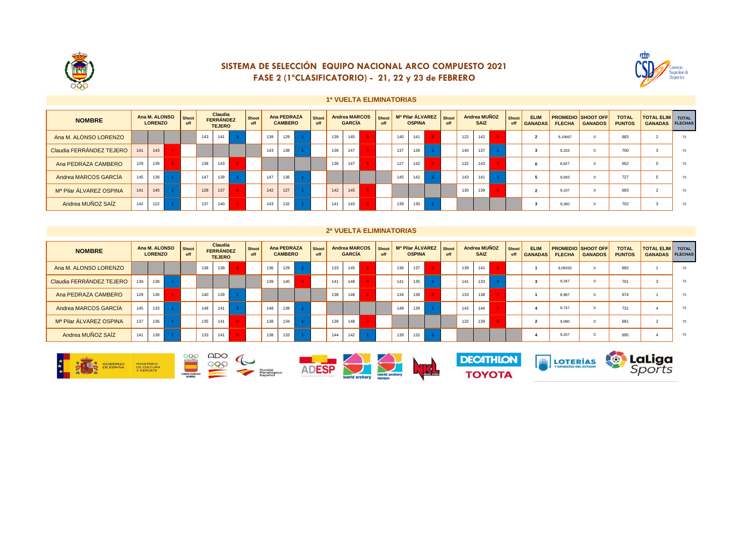

### SISTEMA DE SELECCIÓN EQUIPO NACIONAL ARCO COMPUESTO 2021 FASE 2 (1°CLASIFICATORIO) - 21, 22 y 23 de FEBRERO



#### 1ª VUELTA ELIMINATORIAS

| <b>NOMBRE</b>                       |     | Ana M. ALONSO<br><b>LORENZO</b> | Shoot<br>off | Claudia<br><b>FERRÁNDEZ</b><br><b>TEJERO</b> |     | Shoot<br>off | Ana PEDRAZA<br><b>CAMBERO</b> |     | Shoot<br>off | <b>Andrea MARCOS</b><br><b>GARCÍA</b> |  | Shoot<br>off | Mª Pilar ÁLVAREZ   Shoot<br><b>OSPINA</b> |  | off | Andrea MUÑOZ<br><b>SAIZ</b> |     | <b>Shoot</b><br>off | <b>ELIM</b><br><b>GANADAS</b> | <b>FLECHA</b> | <b>PROMEDIO SHOOT OFF</b><br><b>GANADOS</b> | <b>TOTAL</b><br><b>PUNTOS</b> | <b>TOTAL ELIM</b><br><b>GANADAS</b> | <b>TOTAL</b><br><b>FLECHAS</b> |         |  |     |  |    |
|-------------------------------------|-----|---------------------------------|--------------|----------------------------------------------|-----|--------------|-------------------------------|-----|--------------|---------------------------------------|--|--------------|-------------------------------------------|--|-----|-----------------------------|-----|---------------------|-------------------------------|---------------|---------------------------------------------|-------------------------------|-------------------------------------|--------------------------------|---------|--|-----|--|----|
| Ana M. ALONSO LORENZO               |     |                                 |              | 143                                          | 141 |              |                               | 139 | 129          |                                       |  | 139          | 145                                       |  |     | 140                         | 141 |                     |                               | 122           | 142                                         |                               |                                     |                                | 9.10667 |  | 683 |  | 75 |
| Claudia FERRÁNDEZ TEJERO            | 141 | 143                             |              |                                              |     |              |                               | 143 | 138          |                                       |  | 139          | 147                                       |  |     | 137                         | 128 |                     |                               | 140           | 137                                         |                               |                                     |                                | 9.333   |  | 700 |  | 75 |
| Ana PEDRAZA CAMBERO                 | 129 | 139                             |              | 138                                          | 143 |              |                               |     |              |                                       |  | 136          | 147                                       |  |     | 127                         | 142 |                     |                               | 132           | 143                                         |                               |                                     |                                | 8.827   |  | 662 |  | 75 |
| Andrea MARCOS GARCÍA                | 145 | 139                             |              | 147                                          | 139 |              |                               | 147 | 136          |                                       |  |              |                                           |  |     | 145                         | 142 |                     |                               | 143           | 141                                         |                               |                                     |                                | 9.693   |  | 727 |  | 75 |
| M <sup>a</sup> Pilar ÁLVAREZ OSPINA | 141 | 140                             |              | 128                                          | 137 |              |                               | 142 | 127          |                                       |  | 142          | 145                                       |  |     |                             |     |                     |                               | 130           | 139                                         |                               |                                     |                                | 9.107   |  | 683 |  | 75 |
| Andrea MUÑOZ SAÍZ                   | 142 | 122                             |              | 137                                          | 140 |              |                               | 143 | 132          |                                       |  | 141          | 143                                       |  |     | 139                         | 130 |                     |                               |               |                                             |                               |                                     |                                | 9.360   |  | 702 |  | 75 |

#### 2ª VUELTA ELIMINATORIAS

| <b>NOMBRE</b>            | Ana M. ALONSO<br><b>LORENZO</b> |     | Shoot<br>off | <b>Claudia</b><br><b>FERRÁNDEZ</b><br><b>TEJERO</b> |     | Shoot<br>off | Ana PEDRAZA<br><b>CAMBERO</b> |     | <b>Shoot</b><br>off | <b>Andrea MARCOS</b><br><b>GARCÍA</b> |  | Shoot<br>off | Mª Pilar ÁLVAREZ Shoot<br><b>OSPINA</b> |  | off | Andrea MUÑOZ<br><b>SAIZ</b> |     | <b>Shoot</b><br>off | <b>ELIM</b><br><b>GANADAS</b> | <b>FLECHA</b> | <b>PROMEDIO SHOOT OFF</b><br><b>GANADOS</b> | <b>TOTAL</b><br><b>PUNTOS</b> | <b>TOTAL ELIM</b> TOTAL<br><b>GANADAS</b> | <b>FLECHAS</b> |         |  |     |  |    |
|--------------------------|---------------------------------|-----|--------------|-----------------------------------------------------|-----|--------------|-------------------------------|-----|---------------------|---------------------------------------|--|--------------|-----------------------------------------|--|-----|-----------------------------|-----|---------------------|-------------------------------|---------------|---------------------------------------------|-------------------------------|-------------------------------------------|----------------|---------|--|-----|--|----|
| Ana M. ALONSO LORENZO    |                                 |     |              | 138                                                 | 139 |              |                               | 136 | 129                 |                                       |  | 133          | 145                                     |  |     | 136                         | 137 |                     |                               | 139           | 141                                         |                               |                                           |                | 9.09333 |  | 682 |  | 75 |
| Claudia FERRÁNDEZ TEJERO | 139                             | 138 |              |                                                     |     |              |                               | 139 | 140                 |                                       |  | 141          | 148                                     |  |     | 141                         | 135 |                     |                               | 141           | 133                                         |                               |                                           |                | 9.347   |  | 701 |  | 75 |
| Ana PEDRAZA CAMBERO      | 129                             | 136 |              | 140                                                 | 139 |              |                               |     |                     |                                       |  | 138          | 148                                     |  |     | 134                         | 138 |                     |                               | 133           | 138                                         |                               |                                           |                | 8.987   |  | 674 |  | 75 |
| Andrea MARCOS GARCÍA     | 145                             | 133 |              | 148                                                 | 141 |              |                               | 148 | 138                 |                                       |  |              |                                         |  |     | 148                         | 139 |                     |                               | 142           | 144                                         |                               |                                           |                | 9.747   |  | 731 |  | 75 |
| Mª Pilar ÁLVAREZ OSPINA  | 137                             | 136 |              | 135                                                 | 141 |              |                               | 138 | 134                 |                                       |  | 139          | 148                                     |  |     |                             |     |                     |                               | 132           | 139                                         |                               |                                           |                | 9.080   |  | 681 |  | 75 |
| Andrea MUÑOZ SAÍZ        | 141                             | 139 |              | 133                                                 | 141 |              |                               | 138 | 133                 |                                       |  | 144          | 142                                     |  |     | 139                         | 132 |                     |                               |               |                                             |                               |                                           |                | 9.267   |  | 695 |  | 75 |







**DECATHLON** 





**te LaLiga**<br>Sports



**TOYOTA**